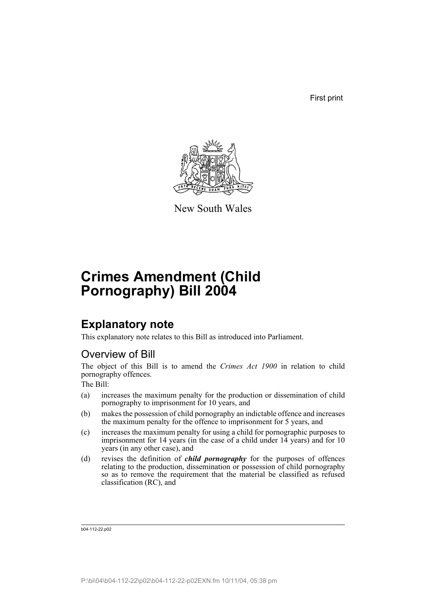First print



New South Wales

# **Crimes Amendment (Child Pornography) Bill 2004**

## **Explanatory note**

This explanatory note relates to this Bill as introduced into Parliament.

## Overview of Bill

The object of this Bill is to amend the *Crimes Act 1900* in relation to child pornography offences.

The Bill:

- (a) increases the maximum penalty for the production or dissemination of child pornography to imprisonment for 10 years, and
- (b) makes the possession of child pornography an indictable offence and increases the maximum penalty for the offence to imprisonment for 5 years, and
- (c) increases the maximum penalty for using a child for pornographic purposes to imprisonment for 14 years (in the case of a child under 14 years) and for 10 years (in any other case), and
- (d) revises the definition of *child pornography* for the purposes of offences relating to the production, dissemination or possession of child pornography so as to remove the requirement that the material be classified as refused classification (RC), and

b04-112-22.p02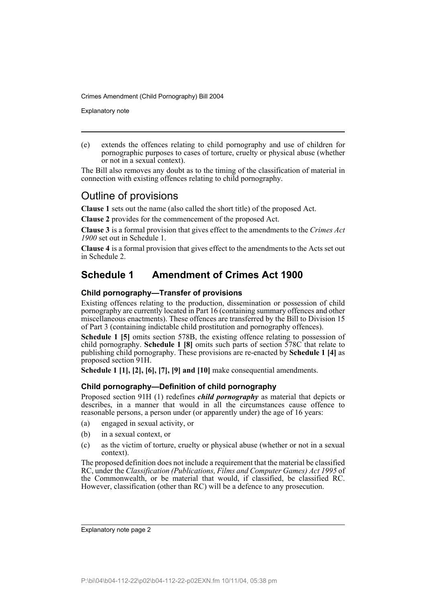Explanatory note

(e) extends the offences relating to child pornography and use of children for pornographic purposes to cases of torture, cruelty or physical abuse (whether or not in a sexual context).

The Bill also removes any doubt as to the timing of the classification of material in connection with existing offences relating to child pornography.

## Outline of provisions

**Clause 1** sets out the name (also called the short title) of the proposed Act.

**Clause 2** provides for the commencement of the proposed Act.

**Clause 3** is a formal provision that gives effect to the amendments to the *Crimes Act 1900* set out in Schedule 1.

**Clause 4** is a formal provision that gives effect to the amendments to the Acts set out in Schedule 2.

## **Schedule 1 Amendment of Crimes Act 1900**

#### **Child pornography—Transfer of provisions**

Existing offences relating to the production, dissemination or possession of child pornography are currently located in Part 16 (containing summary offences and other miscellaneous enactments). These offences are transferred by the Bill to Division 15 of Part 3 (containing indictable child prostitution and pornography offences).

**Schedule 1 [5]** omits section 578B, the existing offence relating to possession of child pornography. **Schedule 1 [8]** omits such parts of section 578C that relate to publishing child pornography. These provisions are re-enacted by **Schedule 1 [4]** as proposed section 91H.

**Schedule 1 [1], [2], [6], [7], [9] and [10]** make consequential amendments.

#### **Child pornography—Definition of child pornography**

Proposed section 91H (1) redefines *child pornography* as material that depicts or describes, in a manner that would in all the circumstances cause offence to reasonable persons, a person under (or apparently under) the age of 16 years:

- (a) engaged in sexual activity, or
- (b) in a sexual context, or
- (c) as the victim of torture, cruelty or physical abuse (whether or not in a sexual context).

The proposed definition does not include a requirement that the material be classified RC, under the *Classification (Publications, Films and Computer Games) Act 1995* of the Commonwealth, or be material that would, if classified, be classified RC. However, classification (other than RC) will be a defence to any prosecution.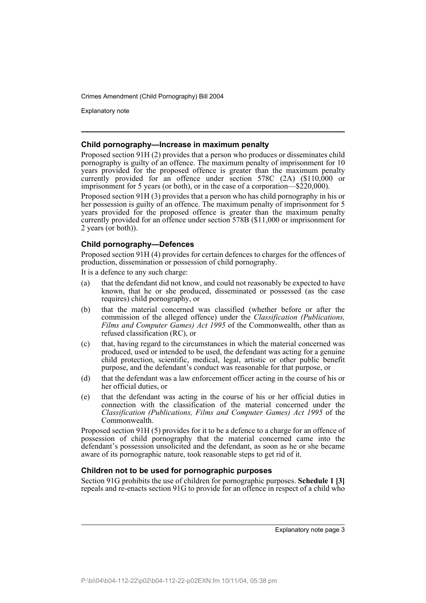Explanatory note

#### **Child pornography—Increase in maximum penalty**

Proposed section 91H (2) provides that a person who produces or disseminates child pornography is guilty of an offence. The maximum penalty of imprisonment for 10 years provided for the proposed offence is greater than the maximum penalty currently provided for an offence under section 578C (2A) (\$110,000 or imprisonment for 5 years (or both), or in the case of a corporation—\$220,000).

Proposed section 91H (3) provides that a person who has child pornography in his or her possession is guilty of an offence. The maximum penalty of imprisonment for 5 years provided for the proposed offence is greater than the maximum penalty currently provided for an offence under section 578B (\$11,000 or imprisonment for 2 years (or both)).

#### **Child pornography—Defences**

Proposed section 91H (4) provides for certain defences to charges for the offences of production, dissemination or possession of child pornography.

It is a defence to any such charge:

- (a) that the defendant did not know, and could not reasonably be expected to have known, that he or she produced, disseminated or possessed (as the case requires) child pornography, or
- (b) that the material concerned was classified (whether before or after the commission of the alleged offence) under the *Classification (Publications, Films and Computer Games) Act 1995* of the Commonwealth, other than as refused classification (RC), or
- (c) that, having regard to the circumstances in which the material concerned was produced, used or intended to be used, the defendant was acting for a genuine child protection, scientific, medical, legal, artistic or other public benefit purpose, and the defendant's conduct was reasonable for that purpose, or
- (d) that the defendant was a law enforcement officer acting in the course of his or her official duties, or
- (e) that the defendant was acting in the course of his or her official duties in connection with the classification of the material concerned under the *Classification (Publications, Films and Computer Games) Act 1995* of the Commonwealth.

Proposed section 91H (5) provides for it to be a defence to a charge for an offence of possession of child pornography that the material concerned came into the defendant's possession unsolicited and the defendant, as soon as he or she became aware of its pornographic nature, took reasonable steps to get rid of it.

#### **Children not to be used for pornographic purposes**

Section 91G prohibits the use of children for pornographic purposes. **Schedule 1 [3]** repeals and re-enacts section 91G to provide for an offence in respect of a child who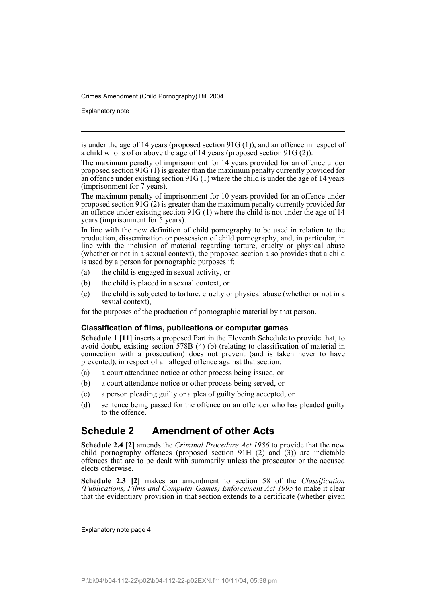Explanatory note

is under the age of 14 years (proposed section 91G (1)), and an offence in respect of a child who is of or above the age of 14 years (proposed section 91G (2)).

The maximum penalty of imprisonment for 14 years provided for an offence under proposed section  $91\overline{G(1)}$  is greater than the maximum penalty currently provided for an offence under existing section  $91G(1)$  where the child is under the age of 14 years (imprisonment for 7 years).

The maximum penalty of imprisonment for 10 years provided for an offence under proposed section  $91G(2)$  is greater than the maximum penalty currently provided for an offence under existing section 91G (1) where the child is not under the age of 14 years (imprisonment for 5 years).

In line with the new definition of child pornography to be used in relation to the production, dissemination or possession of child pornography, and, in particular, in line with the inclusion of material regarding torture, cruelty or physical abuse (whether or not in a sexual context), the proposed section also provides that a child is used by a person for pornographic purposes if:

- (a) the child is engaged in sexual activity, or
- (b) the child is placed in a sexual context, or
- (c) the child is subjected to torture, cruelty or physical abuse (whether or not in a sexual context),

for the purposes of the production of pornographic material by that person.

#### **Classification of films, publications or computer games**

**Schedule 1 [11]** inserts a proposed Part in the Eleventh Schedule to provide that, to avoid doubt, existing section 578B (4) (b) (relating to classification of material in connection with a prosecution) does not prevent (and is taken never to have prevented), in respect of an alleged offence against that section:

- (a) a court attendance notice or other process being issued, or
- (b) a court attendance notice or other process being served, or
- (c) a person pleading guilty or a plea of guilty being accepted, or
- (d) sentence being passed for the offence on an offender who has pleaded guilty to the offence.

#### **Schedule 2 Amendment of other Acts**

**Schedule 2.4 [2]** amends the *Criminal Procedure Act 1986* to provide that the new child pornography offences (proposed section 91H  $(2)$  and  $(3)$ ) are indictable offences that are to be dealt with summarily unless the prosecutor or the accused elects otherwise.

**Schedule 2.3 [2]** makes an amendment to section 58 of the *Classification (Publications, Films and Computer Games) Enforcement Act 1995* to make it clear that the evidentiary provision in that section extends to a certificate (whether given

Explanatory note page 4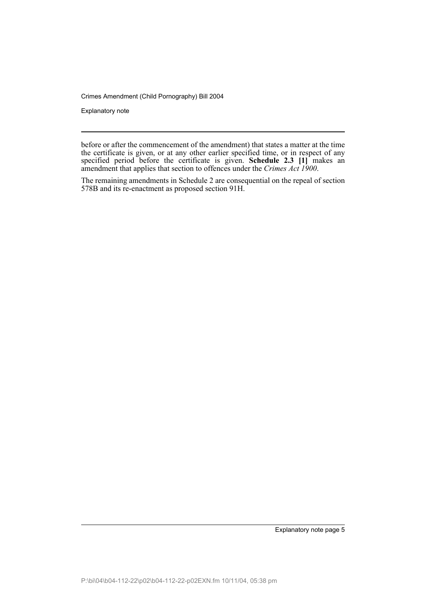Explanatory note

The remaining amendments in Schedule 2 are consequential on the repeal of section 578B and its re-enactment as proposed section 91H.

before or after the commencement of the amendment) that states a matter at the time the certificate is given, or at any other earlier specified time, or in respect of any specified period before the certificate is given. **Schedule 2.3 [1]** makes an amendment that applies that section to offences under the *Crimes Act 1900*.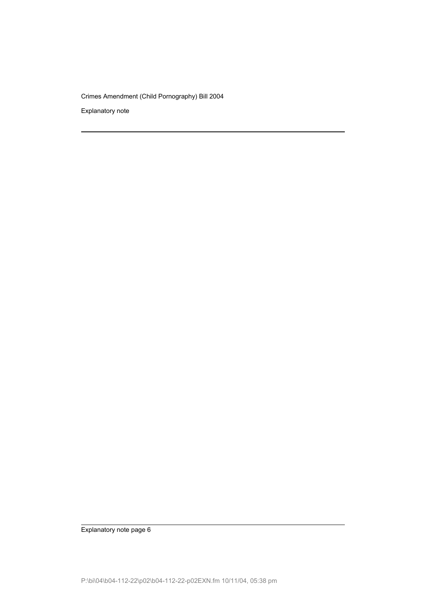Explanatory note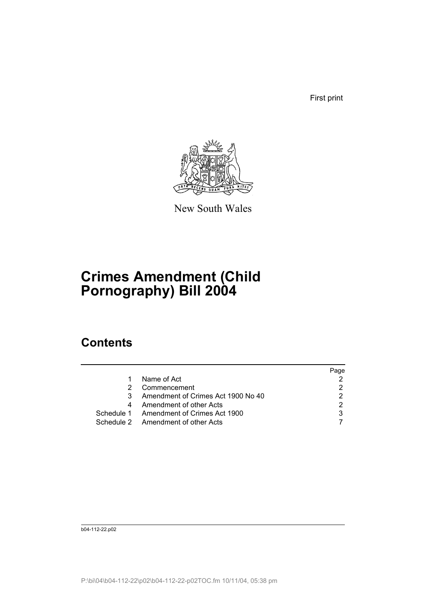First print



New South Wales

# **Crimes Amendment (Child Pornography) Bill 2004**

# **Contents**

|   |                                         | Page |
|---|-----------------------------------------|------|
|   | Name of Act                             |      |
|   | Commencement                            |      |
| 3 | Amendment of Crimes Act 1900 No 40      |      |
| 4 | Amendment of other Acts                 |      |
|   | Schedule 1 Amendment of Crimes Act 1900 |      |
|   | Schedule 2 Amendment of other Acts      |      |

b04-112-22.p02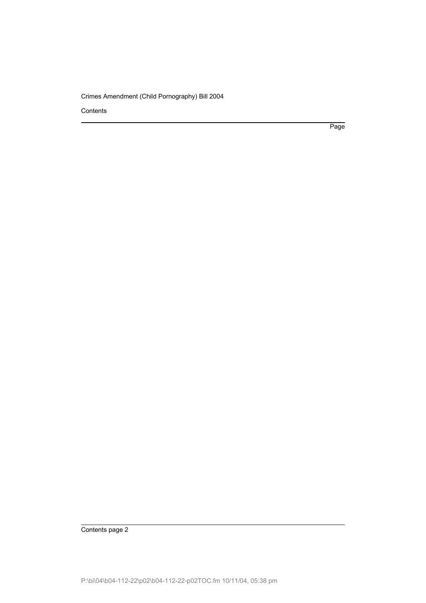**Contents** 

Page

Contents page 2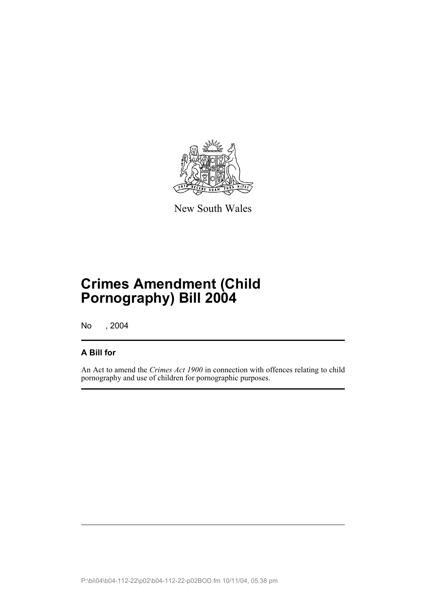

New South Wales

# **Crimes Amendment (Child Pornography) Bill 2004**

No , 2004

### **A Bill for**

An Act to amend the *Crimes Act 1900* in connection with offences relating to child pornography and use of children for pornographic purposes.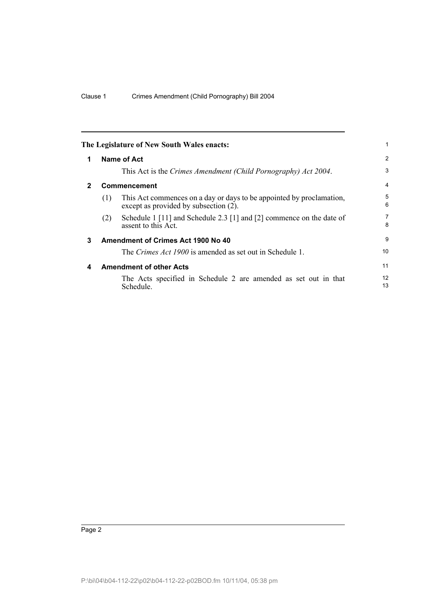|              |             | The Legislature of New South Wales enacts:                                                                    |          |  |  |
|--------------|-------------|---------------------------------------------------------------------------------------------------------------|----------|--|--|
| 1            | Name of Act |                                                                                                               |          |  |  |
|              |             | This Act is the Crimes Amendment (Child Pornography) Act 2004.                                                | 3        |  |  |
| $\mathbf{2}$ |             | <b>Commencement</b>                                                                                           | 4        |  |  |
|              | (1)         | This Act commences on a day or days to be appointed by proclamation,<br>except as provided by subsection (2). | 5<br>6   |  |  |
|              | (2)         | Schedule 1 [11] and Schedule 2.3 [1] and [2] commence on the date of<br>assent to this Act.                   | 7<br>8   |  |  |
| 3            |             | Amendment of Crimes Act 1900 No 40                                                                            | 9        |  |  |
|              |             | The Crimes Act 1900 is amended as set out in Schedule 1.                                                      | 10       |  |  |
| 4            |             | <b>Amendment of other Acts</b>                                                                                | 11       |  |  |
|              |             | The Acts specified in Schedule 2 are amended as set out in that<br>Schedule.                                  | 12<br>13 |  |  |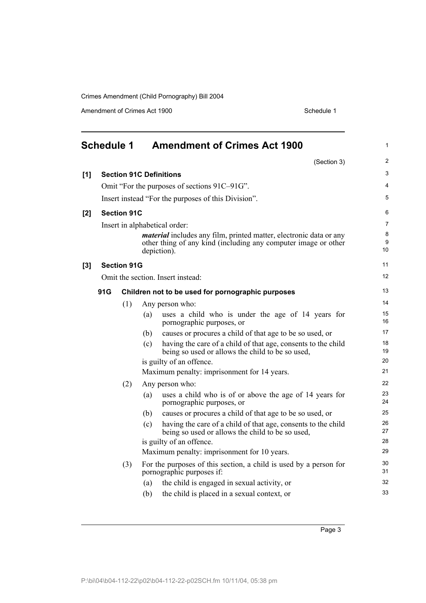Amendment of Crimes Act 1900 Schedule 1

|     | <b>Schedule 1</b> |                    |     | <b>Amendment of Crimes Act 1900</b>                                                                                                                        | 1              |
|-----|-------------------|--------------------|-----|------------------------------------------------------------------------------------------------------------------------------------------------------------|----------------|
|     |                   |                    |     | (Section 3)                                                                                                                                                | $\overline{c}$ |
| [1] |                   |                    |     | <b>Section 91C Definitions</b>                                                                                                                             | 3              |
|     |                   |                    |     | Omit "For the purposes of sections 91C-91G".                                                                                                               | 4              |
|     |                   |                    |     | Insert instead "For the purposes of this Division".                                                                                                        | 5              |
| [2] |                   | <b>Section 91C</b> |     |                                                                                                                                                            | 6              |
|     |                   |                    |     | Insert in alphabetical order:                                                                                                                              | 7              |
|     |                   |                    |     | <i>material</i> includes any film, printed matter, electronic data or any<br>other thing of any kind (including any computer image or other<br>depiction). | 8<br>9<br>10   |
| [3] |                   | <b>Section 91G</b> |     |                                                                                                                                                            | 11             |
|     |                   |                    |     | Omit the section. Insert instead:                                                                                                                          | 12             |
|     | 91G               |                    |     | Children not to be used for pornographic purposes                                                                                                          | 13             |
|     |                   | (1)                |     | Any person who:                                                                                                                                            | 14             |
|     |                   |                    | (a) | uses a child who is under the age of 14 years for<br>pornographic purposes, or                                                                             | 15<br>16       |
|     |                   |                    | (b) | causes or procures a child of that age to be so used, or                                                                                                   | 17             |
|     |                   |                    | (c) | having the care of a child of that age, consents to the child<br>being so used or allows the child to be so used,                                          | 18<br>19       |
|     |                   |                    |     | is guilty of an offence.                                                                                                                                   | 20             |
|     |                   |                    |     | Maximum penalty: imprisonment for 14 years.                                                                                                                | 21             |
|     |                   | (2)                |     | Any person who:                                                                                                                                            | 22             |
|     |                   |                    | (a) | uses a child who is of or above the age of 14 years for<br>pornographic purposes, or                                                                       | 23<br>24       |
|     |                   |                    | (b) | causes or procures a child of that age to be so used, or                                                                                                   | 25             |
|     |                   |                    | (c) | having the care of a child of that age, consents to the child<br>being so used or allows the child to be so used,                                          | 26<br>27       |
|     |                   |                    |     | is guilty of an offence.                                                                                                                                   | 28             |
|     |                   |                    |     | Maximum penalty: imprisonment for 10 years.                                                                                                                | 29             |
|     |                   | (3)                |     | For the purposes of this section, a child is used by a person for<br>pornographic purposes if:                                                             | 30<br>31       |
|     |                   |                    | (a) | the child is engaged in sexual activity, or                                                                                                                | 32             |
|     |                   |                    | (b) | the child is placed in a sexual context, or                                                                                                                | 33             |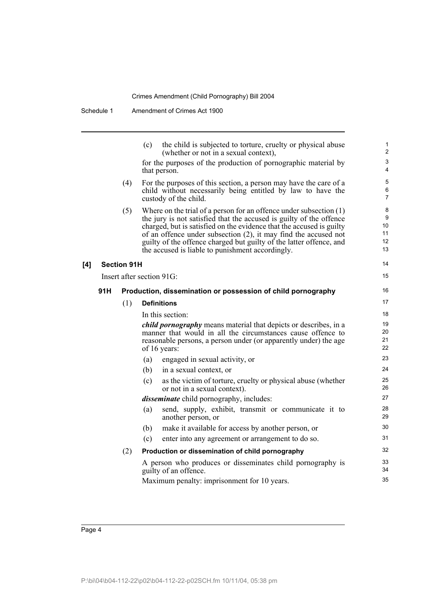|     |     |                    | the child is subjected to torture, cruelty or physical abuse<br>(c)<br>(whether or not in a sexual context),                                                                                                                                                                                                                                                                                                         | $\mathbf{1}$<br>$\overline{2}$ |
|-----|-----|--------------------|----------------------------------------------------------------------------------------------------------------------------------------------------------------------------------------------------------------------------------------------------------------------------------------------------------------------------------------------------------------------------------------------------------------------|--------------------------------|
|     |     |                    | for the purposes of the production of pornographic material by<br>that person.                                                                                                                                                                                                                                                                                                                                       | 3<br>4                         |
|     |     | (4)                | For the purposes of this section, a person may have the care of a<br>child without necessarily being entitled by law to have the<br>custody of the child.                                                                                                                                                                                                                                                            | 5<br>$\,6\,$<br>$\overline{7}$ |
|     |     | (5)                | Where on the trial of a person for an offence under subsection $(1)$<br>the jury is not satisfied that the accused is guilty of the offence<br>charged, but is satisfied on the evidence that the accused is guilty<br>of an offence under subsection $(2)$ , it may find the accused not<br>guilty of the offence charged but guilty of the latter offence, and<br>the accused is liable to punishment accordingly. | 8<br>9<br>10<br>11<br>12<br>13 |
| [4] |     | <b>Section 91H</b> |                                                                                                                                                                                                                                                                                                                                                                                                                      | 14                             |
|     |     |                    | Insert after section 91G:                                                                                                                                                                                                                                                                                                                                                                                            | 15                             |
|     | 91H |                    | Production, dissemination or possession of child pornography                                                                                                                                                                                                                                                                                                                                                         | 16                             |
|     |     | (1)                | <b>Definitions</b>                                                                                                                                                                                                                                                                                                                                                                                                   | 17                             |
|     |     |                    | In this section:                                                                                                                                                                                                                                                                                                                                                                                                     | 18                             |
|     |     |                    | <i>child pornography</i> means material that depicts or describes, in a<br>manner that would in all the circumstances cause offence to<br>reasonable persons, a person under (or apparently under) the age<br>of 16 years:                                                                                                                                                                                           | 19<br>20<br>21<br>22           |
|     |     |                    | engaged in sexual activity, or<br>(a)                                                                                                                                                                                                                                                                                                                                                                                | 23                             |
|     |     |                    | in a sexual context, or<br>(b)                                                                                                                                                                                                                                                                                                                                                                                       | 24                             |
|     |     |                    | (c)<br>as the victim of torture, cruelty or physical abuse (whether<br>or not in a sexual context).                                                                                                                                                                                                                                                                                                                  | 25<br>26                       |
|     |     |                    | <i>disseminate</i> child pornography, includes:                                                                                                                                                                                                                                                                                                                                                                      | 27                             |
|     |     |                    | send, supply, exhibit, transmit or communicate it to<br>(a)<br>another person, or                                                                                                                                                                                                                                                                                                                                    | 28<br>29                       |
|     |     |                    | (b)<br>make it available for access by another person, or                                                                                                                                                                                                                                                                                                                                                            | 30                             |
|     |     |                    | (c)<br>enter into any agreement or arrangement to do so.                                                                                                                                                                                                                                                                                                                                                             | 31                             |
|     |     | (2)                | Production or dissemination of child pornography                                                                                                                                                                                                                                                                                                                                                                     | 32                             |
|     |     |                    | A person who produces or disseminates child pornography is<br>guilty of an offence.<br>Maximum penalty: imprisonment for 10 years.                                                                                                                                                                                                                                                                                   | 33<br>34<br>35                 |
|     |     |                    |                                                                                                                                                                                                                                                                                                                                                                                                                      |                                |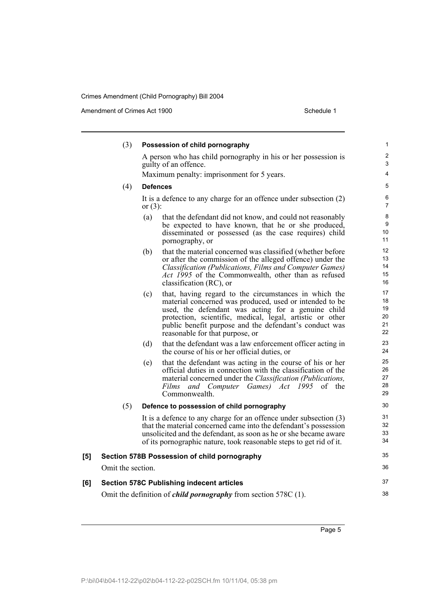Amendment of Crimes Act 1900 Schedule 1

| (3)               | Possession of child pornography                  |                                                                                                                                                                                                                                                                                                                                  |
|-------------------|--------------------------------------------------|----------------------------------------------------------------------------------------------------------------------------------------------------------------------------------------------------------------------------------------------------------------------------------------------------------------------------------|
|                   | guilty of an offence.                            | A person who has child pornography in his or her possession is                                                                                                                                                                                                                                                                   |
|                   |                                                  | Maximum penalty: imprisonment for 5 years.                                                                                                                                                                                                                                                                                       |
| (4)               | <b>Defences</b>                                  |                                                                                                                                                                                                                                                                                                                                  |
|                   | or $(3)$ :                                       | It is a defence to any charge for an offence under subsection $(2)$                                                                                                                                                                                                                                                              |
|                   | (a)<br>pornography, or                           | that the defendant did not know, and could not reasonably<br>be expected to have known, that he or she produced,<br>disseminated or possessed (as the case requires) child                                                                                                                                                       |
|                   | (b)<br>classification (RC), or                   | that the material concerned was classified (whether before<br>or after the commission of the alleged offence) under the<br>Classification (Publications, Films and Computer Games)<br>Act 1995 of the Commonwealth, other than as refused                                                                                        |
|                   | (c)                                              | that, having regard to the circumstances in which the<br>material concerned was produced, used or intended to be<br>used, the defendant was acting for a genuine child<br>protection, scientific, medical, legal, artistic or other<br>public benefit purpose and the defendant's conduct was<br>reasonable for that purpose, or |
|                   | (d)                                              | that the defendant was a law enforcement officer acting in<br>the course of his or her official duties, or                                                                                                                                                                                                                       |
|                   | (e)<br>Commonwealth.                             | that the defendant was acting in the course of his or her<br>official duties in connection with the classification of the<br>material concerned under the <i>Classification (Publications,</i><br>Films and Computer Games) Act 1995<br>of<br>the                                                                                |
| (5)               |                                                  | Defence to possession of child pornography                                                                                                                                                                                                                                                                                       |
|                   |                                                  | It is a defence to any charge for an offence under subsection (3)<br>that the material concerned came into the defendant's possession<br>unsolicited and the defendant, as soon as he or she became aware<br>of its pornographic nature, took reasonable steps to get rid of it.                                                 |
|                   | Section 578B Possession of child pornography     |                                                                                                                                                                                                                                                                                                                                  |
| Omit the section. |                                                  |                                                                                                                                                                                                                                                                                                                                  |
|                   |                                                  |                                                                                                                                                                                                                                                                                                                                  |
|                   | <b>Section 578C Publishing indecent articles</b> | Omit the definition of <i>child pornography</i> from section 578C (1).                                                                                                                                                                                                                                                           |
|                   |                                                  |                                                                                                                                                                                                                                                                                                                                  |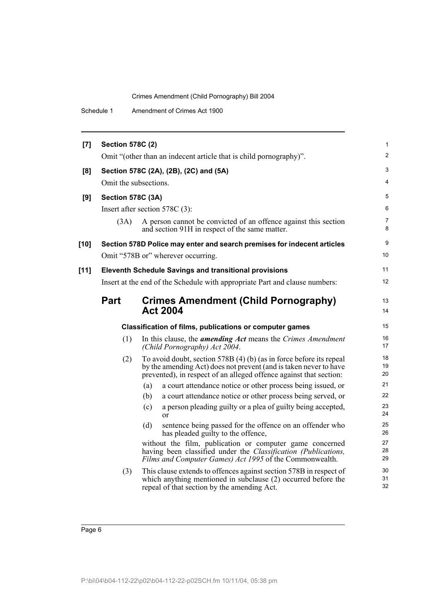Schedule 1 Amendment of Crimes Act 1900

| [7]    | <b>Section 578C (2)</b>                |                                                                                                                                                                                                                | $\mathbf{1}$   |  |  |  |
|--------|----------------------------------------|----------------------------------------------------------------------------------------------------------------------------------------------------------------------------------------------------------------|----------------|--|--|--|
|        |                                        | Omit "(other than an indecent article that is child pornography)".                                                                                                                                             | 2              |  |  |  |
| [8]    | Section 578C (2A), (2B), (2C) and (5A) |                                                                                                                                                                                                                |                |  |  |  |
|        | Omit the subsections.                  |                                                                                                                                                                                                                | $\overline{4}$ |  |  |  |
| [9]    | Section 578C (3A)                      |                                                                                                                                                                                                                | 5              |  |  |  |
|        |                                        | Insert after section $578C(3)$ :                                                                                                                                                                               | 6              |  |  |  |
|        | (3A)                                   | A person cannot be convicted of an offence against this section<br>and section 91H in respect of the same matter.                                                                                              | 7<br>8         |  |  |  |
| $[10]$ |                                        | Section 578D Police may enter and search premises for indecent articles                                                                                                                                        | 9              |  |  |  |
|        |                                        | Omit "578B or" wherever occurring.                                                                                                                                                                             | 10             |  |  |  |
| $[11]$ |                                        | <b>Eleventh Schedule Savings and transitional provisions</b>                                                                                                                                                   | 11             |  |  |  |
|        |                                        | Insert at the end of the Schedule with appropriate Part and clause numbers:                                                                                                                                    | 12             |  |  |  |
|        | <b>Part</b>                            | <b>Crimes Amendment (Child Pornography)</b>                                                                                                                                                                    | 13             |  |  |  |
|        |                                        | <b>Act 2004</b>                                                                                                                                                                                                | 14             |  |  |  |
|        |                                        | Classification of films, publications or computer games                                                                                                                                                        | 15             |  |  |  |
|        | (1)                                    | In this clause, the <i>amending Act</i> means the Crimes Amendment<br>(Child Pornography) Act 2004.                                                                                                            | 16<br>17       |  |  |  |
|        | (2)                                    | To avoid doubt, section 578B (4) (b) (as in force before its repeal<br>by the amending Act) does not prevent (and is taken never to have<br>prevented), in respect of an alleged offence against that section: | 18<br>19<br>20 |  |  |  |
|        |                                        | a court attendance notice or other process being issued, or<br>(a)                                                                                                                                             | 21             |  |  |  |
|        |                                        | a court attendance notice or other process being served, or<br>(b)                                                                                                                                             | 22             |  |  |  |
|        |                                        | a person pleading guilty or a plea of guilty being accepted,<br>(c)<br>$\alpha$                                                                                                                                | 23<br>24       |  |  |  |
|        |                                        | (d)<br>sentence being passed for the offence on an offender who<br>has pleaded guilty to the offence,                                                                                                          | 25<br>26       |  |  |  |
|        |                                        | without the film, publication or computer game concerned<br>having been classified under the Classification (Publications,<br>Films and Computer Games) Act 1995 of the Commonwealth.                          | 27<br>28<br>29 |  |  |  |
|        | (3)                                    | This clause extends to offences against section 578B in respect of<br>which anything mentioned in subclause (2) occurred before the<br>repeal of that section by the amending Act.                             | 30<br>31<br>32 |  |  |  |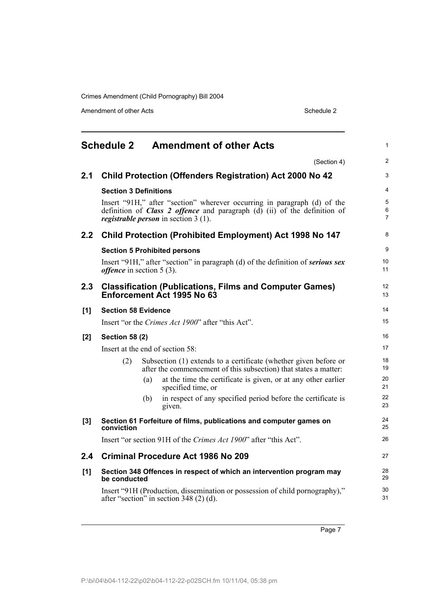Amendment of other Acts Schedule 2

|     | <b>Schedule 2</b>                  |     | <b>Amendment of other Acts</b>                                                                                                                                                                                    | $\mathbf{1}$             |
|-----|------------------------------------|-----|-------------------------------------------------------------------------------------------------------------------------------------------------------------------------------------------------------------------|--------------------------|
|     |                                    |     | (Section 4)                                                                                                                                                                                                       | $\overline{2}$           |
| 2.1 |                                    |     | <b>Child Protection (Offenders Registration) Act 2000 No 42</b>                                                                                                                                                   | 3                        |
|     | <b>Section 3 Definitions</b>       |     |                                                                                                                                                                                                                   | $\overline{4}$           |
|     |                                    |     | Insert "91H," after "section" wherever occurring in paragraph (d) of the<br>definition of <b>Class 2 offence</b> and paragraph $(d)$ $(ii)$ of the definition of<br><i>registrable person</i> in section $3(1)$ . | 5<br>6<br>$\overline{7}$ |
| 2.2 |                                    |     | <b>Child Protection (Prohibited Employment) Act 1998 No 147</b>                                                                                                                                                   | 8                        |
|     |                                    |     | <b>Section 5 Prohibited persons</b>                                                                                                                                                                               | 9                        |
|     | <i>offence</i> in section $5(3)$ . |     | Insert "91H," after "section" in paragraph (d) of the definition of serious sex                                                                                                                                   | 10<br>11                 |
| 2.3 |                                    |     | <b>Classification (Publications, Films and Computer Games)</b><br>Enforcement Act 1995 No 63                                                                                                                      | 12<br>13                 |
| [1] | <b>Section 58 Evidence</b>         |     |                                                                                                                                                                                                                   | 14                       |
|     |                                    |     | Insert "or the Crimes Act 1900" after "this Act".                                                                                                                                                                 | 15                       |
| [2] | <b>Section 58 (2)</b>              |     |                                                                                                                                                                                                                   | 16                       |
|     |                                    |     | Insert at the end of section 58:                                                                                                                                                                                  | 17                       |
|     | (2)                                |     | Subsection (1) extends to a certificate (whether given before or<br>after the commencement of this subsection) that states a matter:                                                                              | 18<br>19                 |
|     |                                    | (a) | at the time the certificate is given, or at any other earlier<br>specified time, or                                                                                                                               | 20<br>21                 |
|     |                                    | (b) | in respect of any specified period before the certificate is<br>given.                                                                                                                                            | 22<br>23                 |
| [3] | conviction                         |     | Section 61 Forfeiture of films, publications and computer games on                                                                                                                                                | 24<br>25                 |
|     |                                    |     | Insert "or section 91H of the Crimes Act 1900" after "this Act".                                                                                                                                                  | 26                       |
| 2.4 |                                    |     | Criminal Procedure Act 1986 No 209                                                                                                                                                                                | 27                       |
| [1] | be conducted                       |     | Section 348 Offences in respect of which an intervention program may                                                                                                                                              | 28<br>29                 |
|     |                                    |     | Insert "91H (Production, dissemination or possession of child pornography),"<br>after "section" in section $348(2)$ (d).                                                                                          | 30<br>31                 |